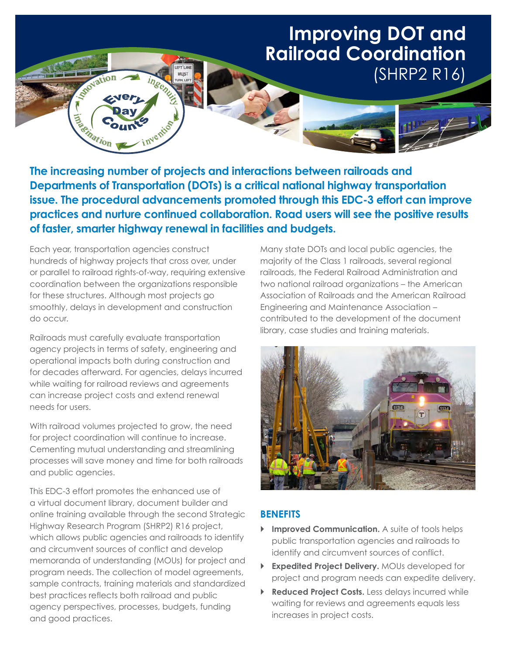# **Improving DOT and Railroad Coordination**  (SHRP2 R16)

**The increasing number of projects and interactions between railroads and Departments of Transportation (DOTs) is a critical national highway transportation issue. The procedural advancements promoted through this EDC-3 effort can improve practices and nurture continued collaboration. Road users will see the positive results of faster, smarter highway renewal in facilities and budgets.**

Each year, transportation agencies construct hundreds of highway projects that cross over, under or parallel to railroad rights-of-way, requiring extensive coordination between the organizations responsible for these structures. Although most projects go smoothly, delays in development and construction do occur.

vation

**Electric Cc** 

Railroads must carefully evaluate transportation agency projects in terms of safety, engineering and operational impacts both during construction and for decades afterward. For agencies, delays incurred while waiting for railroad reviews and agreements can increase project costs and extend renewal needs for users.

With railroad volumes projected to grow, the need for project coordination will continue to increase. Cementing mutual understanding and streamlining processes will save money and time for both railroads and public agencies.

This EDC-3 effort promotes the enhanced use of a virtual document library, document builder and online training available through the second Strategic Highway Research Program (SHRP2) R16 project, which allows public agencies and railroads to identify and circumvent sources of conflict and develop memoranda of understanding (MOUs) for project and program needs. The collection of model agreements, sample contracts, training materials and standardized best practices reflects both railroad and public agency perspectives, processes, budgets, funding and good practices.

Many state DOTs and local public agencies, the majority of the Class 1 railroads, several regional railroads, the Federal Railroad Administration and two national railroad organizations – the American Association of Railroads and the American Railroad Engineering and Maintenance Association – contributed to the development of the document library, case studies and training materials.



### **BENEFITS**

- **Improved Communication.** A suite of tools helps public transportation agencies and railroads to identify and circumvent sources of conflict.
- **Expedited Project Delivery.** MOUs developed for project and program needs can expedite delivery.
- **Reduced Project Costs.** Less delays incurred while waiting for reviews and agreements equals less increases in project costs.